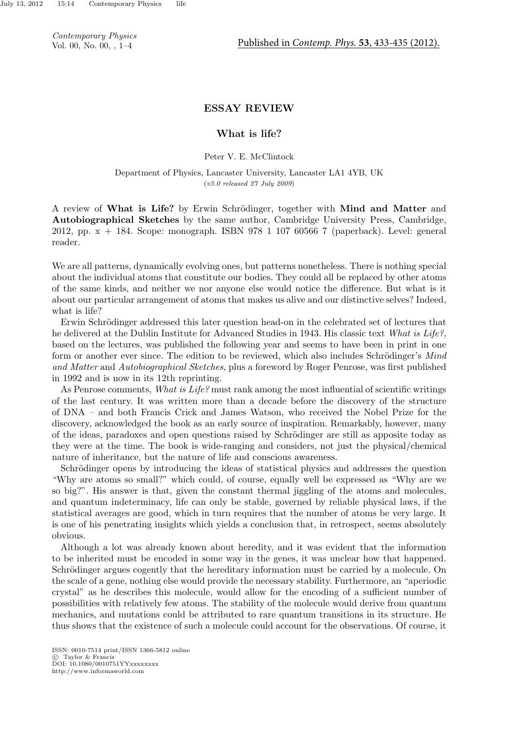*Contemporary Physics* Vol. 00, No. 00, , 1–4

# **ESSAY REVIEW**

## **What is life?**

Peter V. E. McClintock

Department of Physics, Lancaster University, Lancaster LA1 4YB, UK (*v3.0 released 27 July 2009*)

A review of **What is Life?** by Erwin Schrödinger, together with **Mind and Matter** and **Autobiographical Sketches** by the same author, Cambridge University Press, Cambridge, 2012, pp. x + 184. Scope: monograph. ISBN 978 1 107 60566 7 (paperback). Level: general reader.

We are all patterns, dynamically evolving ones, but patterns nonetheless. There is nothing special about the individual atoms that constitute our bodies. They could all be replaced by other atoms of the same kinds, and neither we nor anyone else would notice the difference. But what is it about our particular arrangement of atoms that makes us alive and our distinctive selves? Indeed, what is life?

Erwin Schrödinger addressed this later question head-on in the celebrated set of lectures that he delivered at the Dublin Institute for Advanced Studies in 1943. His classic text *What is Life?*, based on the lectures, was published the following year and seems to have been in print in one form or another ever since. The edition to be reviewed, which also includes Schrödinger's *Mind and Matter* and *Autobiographical Sketches*, plus a foreword by Roger Penrose, was first published in 1992 and is now in its 12th reprinting.

As Penrose comments, *What is Life?* must rank among the most influential of scientific writings of the last century. It was written more than a decade before the discovery of the structure of DNA – and both Francis Crick and James Watson, who received the Nobel Prize for the discovery, acknowledged the book as an early source of inspiration. Remarkably, however, many of the ideas, paradoxes and open questions raised by Schrödinger are still as apposite today as they were at the time. The book is wide-ranging and considers, not just the physical/chemical nature of inheritance, but the nature of life and conscious awareness.

Schrödinger opens by introducing the ideas of statistical physics and addresses the question "Why are atoms so small?" which could, of course, equally well be expressed as "Why are we so big?". His answer is that, given the constant thermal jiggling of the atoms and molecules, and quantum indeterminacy, life can only be stable, governed by reliable physical laws, if the statistical averages are good, which in turn requires that the number of atoms be very large. It is one of his penetrating insights which yields a conclusion that, in retrospect, seems absolutely obvious.

Although a lot was already known about heredity, and it was evident that the information to be inherited must be encoded in some way in the genes, it was unclear how that happened. Schrödinger argues cogently that the hereditary information must be carried by a molecule. On the scale of a gene, nothing else would provide the necessary stability. Furthermore, an "aperiodic crystal" as he describes this molecule, would allow for the encoding of a sufficient number of possibilities with relatively few atoms. The stability of the molecule would derive from quantum mechanics, and mutations could be attributed to rare quantum transitions in its structure. He thus shows that the existence of such a molecule could account for the observations. Of course, it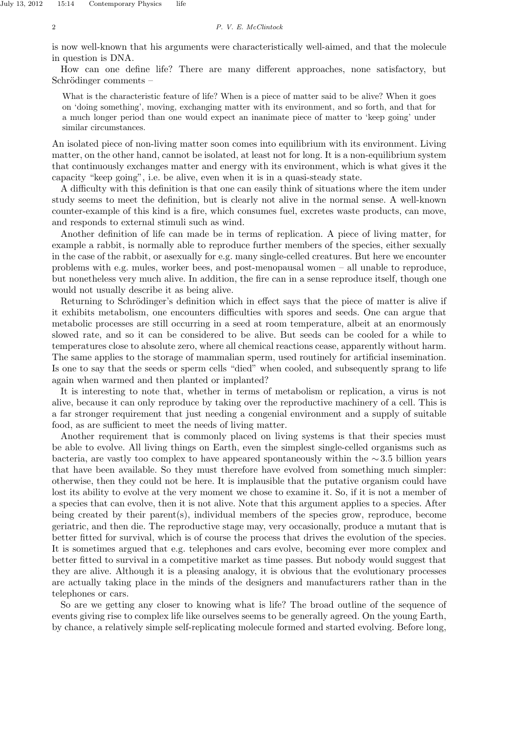### 2 *P. V. E. McClintock*

is now well-known that his arguments were characteristically well-aimed, and that the molecule in question is DNA.

How can one define life? There are many different approaches, none satisfactory, but Schrödinger comments –

What is the characteristic feature of life? When is a piece of matter said to be alive? When it goes on 'doing something', moving, exchanging matter with its environment, and so forth, and that for a much longer period than one would expect an inanimate piece of matter to 'keep going' under similar circumstances.

An isolated piece of non-living matter soon comes into equilibrium with its environment. Living matter, on the other hand, cannot be isolated, at least not for long. It is a non-equilibrium system that continuously exchanges matter and energy with its environment, which is what gives it the capacity "keep going", i.e. be alive, even when it is in a quasi-steady state.

A difficulty with this definition is that one can easily think of situations where the item under study seems to meet the definition, but is clearly not alive in the normal sense. A well-known counter-example of this kind is a fire, which consumes fuel, excretes waste products, can move, and responds to external stimuli such as wind.

Another definition of life can made be in terms of replication. A piece of living matter, for example a rabbit, is normally able to reproduce further members of the species, either sexually in the case of the rabbit, or asexually for e.g. many single-celled creatures. But here we encounter problems with e.g. mules, worker bees, and post-menopausal women – all unable to reproduce, but nonetheless very much alive. In addition, the fire can in a sense reproduce itself, though one would not usually describe it as being alive.

Returning to Schrödinger's definition which in effect says that the piece of matter is alive if it exhibits metabolism, one encounters difficulties with spores and seeds. One can argue that metabolic processes are still occurring in a seed at room temperature, albeit at an enormously slowed rate, and so it can be considered to be alive. But seeds can be cooled for a while to temperatures close to absolute zero, where all chemical reactions cease, apparently without harm. The same applies to the storage of mammalian sperm, used routinely for artificial insemination. Is one to say that the seeds or sperm cells "died" when cooled, and subsequently sprang to life again when warmed and then planted or implanted?

It is interesting to note that, whether in terms of metabolism or replication, a virus is not alive, because it can only reproduce by taking over the reproductive machinery of a cell. This is a far stronger requirement that just needing a congenial environment and a supply of suitable food, as are sufficient to meet the needs of living matter.

Another requirement that is commonly placed on living systems is that their species must be able to evolve. All living things on Earth, even the simplest single-celled organisms such as bacteria, are vastly too complex to have appeared spontaneously within the *∼* 3.5 billion years that have been available. So they must therefore have evolved from something much simpler: otherwise, then they could not be here. It is implausible that the putative organism could have lost its ability to evolve at the very moment we chose to examine it. So, if it is not a member of a species that can evolve, then it is not alive. Note that this argument applies to a species. After being created by their parent(s), individual members of the species grow, reproduce, become geriatric, and then die. The reproductive stage may, very occasionally, produce a mutant that is better fitted for survival, which is of course the process that drives the evolution of the species. It is sometimes argued that e.g. telephones and cars evolve, becoming ever more complex and better fitted to survival in a competitive market as time passes. But nobody would suggest that they are alive. Although it is a pleasing analogy, it is obvious that the evolutionary processes are actually taking place in the minds of the designers and manufacturers rather than in the telephones or cars.

So are we getting any closer to knowing what is life? The broad outline of the sequence of events giving rise to complex life like ourselves seems to be generally agreed. On the young Earth, by chance, a relatively simple self-replicating molecule formed and started evolving. Before long,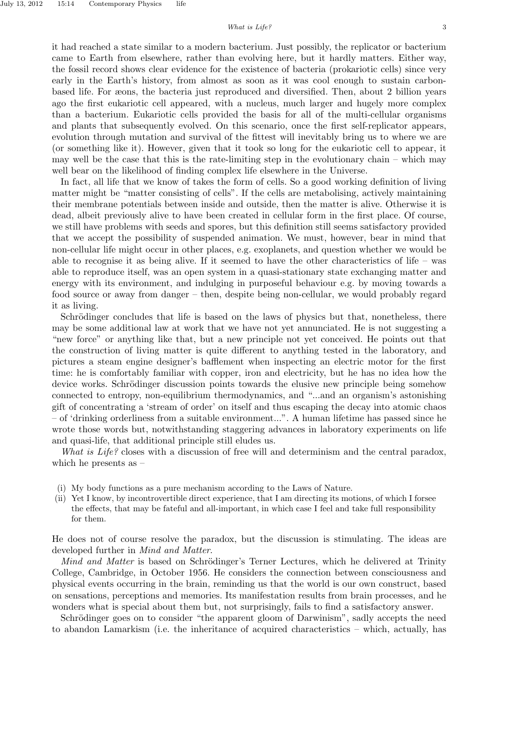#### *What is Life?* 3

it had reached a state similar to a modern bacterium. Just possibly, the replicator or bacterium came to Earth from elsewhere, rather than evolving here, but it hardly matters. Either way, the fossil record shows clear evidence for the existence of bacteria (prokariotic cells) since very early in the Earth's history, from almost as soon as it was cool enough to sustain carbonbased life. For æons, the bacteria just reproduced and diversified. Then, about 2 billion years ago the first eukariotic cell appeared, with a nucleus, much larger and hugely more complex than a bacterium. Eukariotic cells provided the basis for all of the multi-cellular organisms and plants that subsequently evolved. On this scenario, once the first self-replicator appears, evolution through mutation and survival of the fittest will inevitably bring us to where we are (or something like it). However, given that it took so long for the eukariotic cell to appear, it may well be the case that this is the rate-limiting step in the evolutionary chain – which may well bear on the likelihood of finding complex life elsewhere in the Universe.

In fact, all life that we know of takes the form of cells. So a good working definition of living matter might be "matter consisting of cells". If the cells are metabolising, actively maintaining their membrane potentials between inside and outside, then the matter is alive. Otherwise it is dead, albeit previously alive to have been created in cellular form in the first place. Of course, we still have problems with seeds and spores, but this definition still seems satisfactory provided that we accept the possibility of suspended animation. We must, however, bear in mind that non-cellular life might occur in other places, e.g. exoplanets, and question whether we would be able to recognise it as being alive. If it seemed to have the other characteristics of life – was able to reproduce itself, was an open system in a quasi-stationary state exchanging matter and energy with its environment, and indulging in purposeful behaviour e.g. by moving towards a food source or away from danger – then, despite being non-cellular, we would probably regard it as living.

Schrödinger concludes that life is based on the laws of physics but that, nonetheless, there may be some additional law at work that we have not yet annunciated. He is not suggesting a "new force" or anything like that, but a new principle not yet conceived. He points out that the construction of living matter is quite different to anything tested in the laboratory, and pictures a steam engine designer's bafflement when inspecting an electric motor for the first time: he is comfortably familiar with copper, iron and electricity, but he has no idea how the device works. Schrödinger discussion points towards the elusive new principle being somehow connected to entropy, non-equilibrium thermodynamics, and "...and an organism's astonishing gift of concentrating a 'stream of order' on itself and thus escaping the decay into atomic chaos – of 'drinking orderliness from a suitable environment...". A human lifetime has passed since he wrote those words but, notwithstanding staggering advances in laboratory experiments on life and quasi-life, that additional principle still eludes us.

*What is Life?* closes with a discussion of free will and determinism and the central paradox, which he presents as –

- (i) My body functions as a pure mechanism according to the Laws of Nature.
- (ii) Yet I know, by incontrovertible direct experience, that I am directing its motions, of which I forsee the effects, that may be fateful and all-important, in which case I feel and take full responsibility for them.

He does not of course resolve the paradox, but the discussion is stimulating. The ideas are developed further in *Mind and Matter*.

*Mind and Matter* is based on Schrödinger's Terner Lectures, which he delivered at Trinity College, Cambridge, in October 1956. He considers the connection between consciousness and physical events occurring in the brain, reminding us that the world is our own construct, based on sensations, perceptions and memories. Its manifestation results from brain processes, and he wonders what is special about them but, not surprisingly, fails to find a satisfactory answer.

Schrödinger goes on to consider "the apparent gloom of Darwinism", sadly accepts the need to abandon Lamarkism (i.e. the inheritance of acquired characteristics – which, actually, has